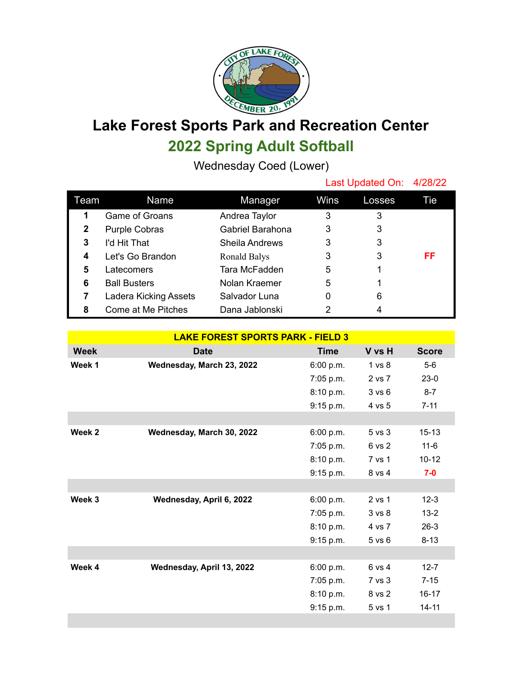

## **Lake Forest Sports Park and Recreation Center 2022 Spring Adult Softball**

Wednesday Coed (Lower)

|              |                       |                       | Last Updated On: 4/28/22 |        |     |
|--------------|-----------------------|-----------------------|--------------------------|--------|-----|
| Team         | Name                  | Manager               | Wins                     | Losses | Tie |
| 1            | Game of Groans        | Andrea Taylor         | 3                        | 3      |     |
| $\mathbf{2}$ | <b>Purple Cobras</b>  | Gabriel Barahona      | 3                        | 3      |     |
| 3            | I'd Hit That          | <b>Sheila Andrews</b> | 3                        | 3      |     |
| 4            | Let's Go Brandon      | Ronald Balys          | 3                        | 3      | FF  |
| 5            | Latecomers            | Tara McFadden         | 5                        |        |     |
| 6            | <b>Ball Busters</b>   | Nolan Kraemer         | 5                        |        |     |
|              | Ladera Kicking Assets | Salvador Luna         | 0                        | 6      |     |
| 8            | Come at Me Pitches    | Dana Jablonski        | 2                        | 4      |     |

| <b>LAKE FOREST SPORTS PARK - FIELD 3</b> |                           |             |                   |              |  |  |
|------------------------------------------|---------------------------|-------------|-------------------|--------------|--|--|
| <b>Week</b>                              | <b>Date</b>               | <b>Time</b> | V vs H            | <b>Score</b> |  |  |
| Week 1                                   | Wednesday, March 23, 2022 | 6:00 p.m.   | 1 vs 8            | $5-6$        |  |  |
|                                          |                           | 7:05 p.m.   | 2 vs 7            | $23-0$       |  |  |
|                                          |                           | 8:10 p.m.   | 3 v s 6           | $8 - 7$      |  |  |
|                                          |                           | 9:15 p.m.   | 4 vs 5            | $7 - 11$     |  |  |
|                                          |                           |             |                   |              |  |  |
| Week 2                                   | Wednesday, March 30, 2022 | 6:00 p.m.   | 5 vs 3            | $15 - 13$    |  |  |
|                                          |                           | 7:05 p.m.   | 6 vs 2            | $11 - 6$     |  |  |
|                                          |                           | 8:10 p.m.   | 7 vs 1            | $10 - 12$    |  |  |
|                                          |                           | 9:15 p.m.   | 8 vs 4            | $7-0$        |  |  |
|                                          |                           |             |                   |              |  |  |
| Week 3                                   | Wednesday, April 6, 2022  | 6:00 p.m.   | 2 vs 1            | $12 - 3$     |  |  |
|                                          |                           | $7:05$ p.m. | 3 <sub>vs</sub> 8 | $13 - 2$     |  |  |
|                                          |                           | 8:10 p.m.   | 4 vs 7            | $26-3$       |  |  |
|                                          |                           | 9:15 p.m.   | $5$ vs $6$        | $8 - 13$     |  |  |
|                                          |                           |             |                   |              |  |  |
| Week 4                                   | Wednesday, April 13, 2022 | 6:00 p.m.   | 6 vs 4            | $12 - 7$     |  |  |
|                                          |                           | 7:05 p.m.   | 7 vs 3            | $7 - 15$     |  |  |
|                                          |                           | 8:10 p.m.   | 8 vs 2            | $16 - 17$    |  |  |
|                                          |                           | 9:15 p.m.   | 5 vs 1            | $14 - 11$    |  |  |
|                                          |                           |             |                   |              |  |  |